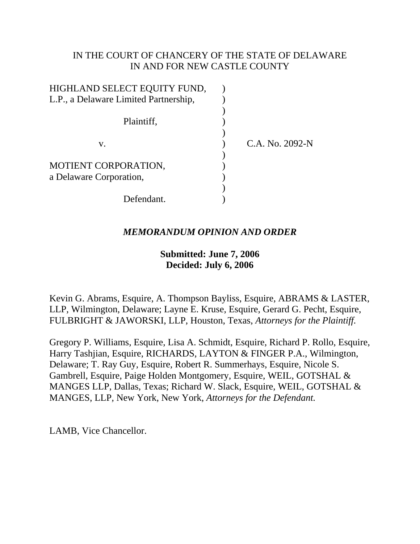# IN THE COURT OF CHANCERY OF THE STATE OF DELAWARE IN AND FOR NEW CASTLE COUNTY

| HIGHLAND SELECT EQUITY FUND,          |                 |
|---------------------------------------|-----------------|
| L.P., a Delaware Limited Partnership, |                 |
|                                       |                 |
| Plaintiff,                            |                 |
|                                       |                 |
| V.                                    | C.A. No. 2092-N |
|                                       |                 |
| MOTIENT CORPORATION,                  |                 |
| a Delaware Corporation,               |                 |
|                                       |                 |
| Defendant.                            |                 |

# *MEMORANDUM OPINION AND ORDER*

# **Submitted: June 7, 2006 Decided: July 6, 2006**

Kevin G. Abrams, Esquire, A. Thompson Bayliss, Esquire, ABRAMS & LASTER, LLP, Wilmington, Delaware; Layne E. Kruse, Esquire, Gerard G. Pecht, Esquire, FULBRIGHT & JAWORSKI, LLP, Houston, Texas, *Attorneys for the Plaintiff.*

Gregory P. Williams, Esquire, Lisa A. Schmidt, Esquire, Richard P. Rollo, Esquire, Harry Tashjian, Esquire, RICHARDS, LAYTON & FINGER P.A., Wilmington, Delaware; T. Ray Guy, Esquire, Robert R. Summerhays, Esquire, Nicole S. Gambrell, Esquire, Paige Holden Montgomery, Esquire, WEIL, GOTSHAL & MANGES LLP, Dallas, Texas; Richard W. Slack, Esquire, WEIL, GOTSHAL & MANGES, LLP, New York, New York, *Attorneys for the Defendant.*

LAMB, Vice Chancellor.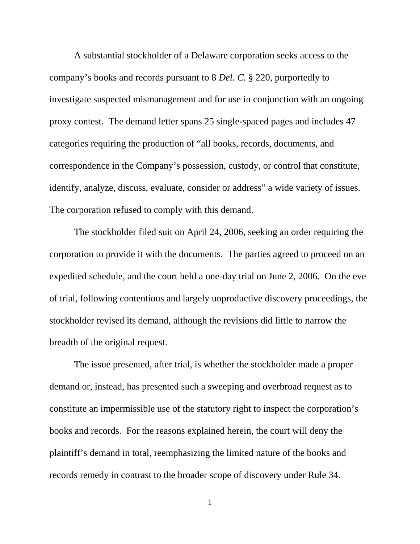A substantial stockholder of a Delaware corporation seeks access to the company's books and records pursuant to 8 *Del. C.* § 220, purportedly to investigate suspected mismanagement and for use in conjunction with an ongoing proxy contest. The demand letter spans 25 single-spaced pages and includes 47 categories requiring the production of "all books, records, documents, and correspondence in the Company's possession, custody, or control that constitute, identify, analyze, discuss, evaluate, consider or address" a wide variety of issues. The corporation refused to comply with this demand.

The stockholder filed suit on April 24, 2006, seeking an order requiring the corporation to provide it with the documents. The parties agreed to proceed on an expedited schedule, and the court held a one-day trial on June 2, 2006. On the eve of trial, following contentious and largely unproductive discovery proceedings, the stockholder revised its demand, although the revisions did little to narrow the breadth of the original request.

The issue presented, after trial, is whether the stockholder made a proper demand or, instead, has presented such a sweeping and overbroad request as to constitute an impermissible use of the statutory right to inspect the corporation's books and records. For the reasons explained herein, the court will deny the plaintiff's demand in total, reemphasizing the limited nature of the books and records remedy in contrast to the broader scope of discovery under Rule 34.

1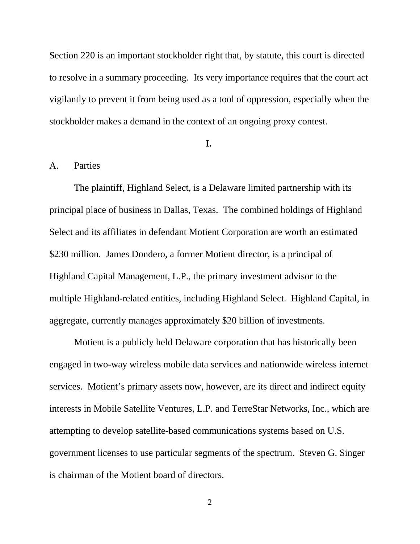Section 220 is an important stockholder right that, by statute, this court is directed to resolve in a summary proceeding. Its very importance requires that the court act vigilantly to prevent it from being used as a tool of oppression, especially when the stockholder makes a demand in the context of an ongoing proxy contest.

#### **I.**

### A. Parties

The plaintiff, Highland Select, is a Delaware limited partnership with its principal place of business in Dallas, Texas. The combined holdings of Highland Select and its affiliates in defendant Motient Corporation are worth an estimated \$230 million. James Dondero, a former Motient director, is a principal of Highland Capital Management, L.P., the primary investment advisor to the multiple Highland-related entities, including Highland Select. Highland Capital, in aggregate, currently manages approximately \$20 billion of investments.

Motient is a publicly held Delaware corporation that has historically been engaged in two-way wireless mobile data services and nationwide wireless internet services. Motient's primary assets now, however, are its direct and indirect equity interests in Mobile Satellite Ventures, L.P. and TerreStar Networks, Inc., which are attempting to develop satellite-based communications systems based on U.S. government licenses to use particular segments of the spectrum. Steven G. Singer is chairman of the Motient board of directors.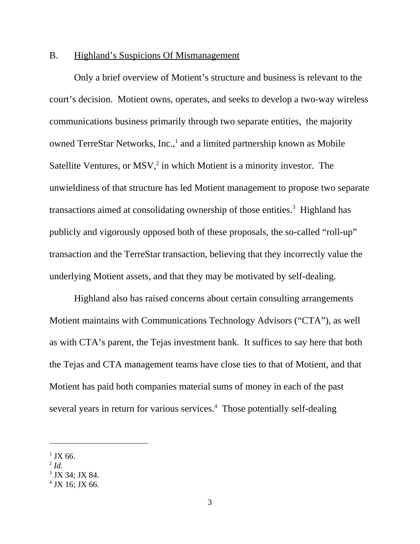### B. Highland's Suspicions Of Mismanagement

Only a brief overview of Motient's structure and business is relevant to the court's decision. Motient owns, operates, and seeks to develop a two-way wireless communications business primarily through two separate entities, the majority owned TerreStar Networks, Inc.,<sup>1</sup> and a limited partnership known as Mobile Satellite Ventures, or  $MSV<sub>i</sub><sup>2</sup>$  in which Motient is a minority investor. The unwieldiness of that structure has led Motient management to propose two separate transactions aimed at consolidating ownership of those entities.<sup>3</sup> Highland has publicly and vigorously opposed both of these proposals, the so-called "roll-up" transaction and the TerreStar transaction, believing that they incorrectly value the underlying Motient assets, and that they may be motivated by self-dealing.

Highland also has raised concerns about certain consulting arrangements Motient maintains with Communications Technology Advisors ("CTA"), as well as with CTA's parent, the Tejas investment bank. It suffices to say here that both the Tejas and CTA management teams have close ties to that of Motient, and that Motient has paid both companies material sums of money in each of the past several years in return for various services.<sup>4</sup> Those potentially self-dealing

 $1$  JX 66.

 $^{2}$  *Id.* 

<sup>3</sup> JX 34; JX 84.

<sup>4</sup> JX 16; JX 66.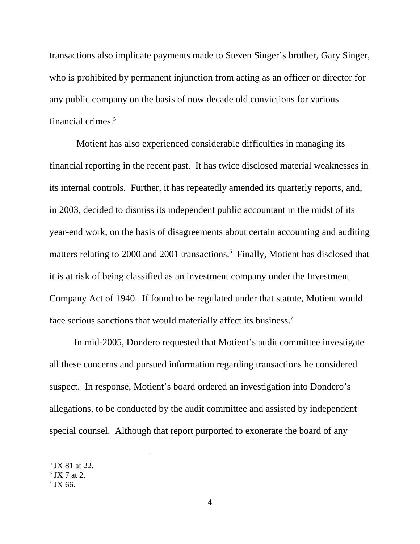transactions also implicate payments made to Steven Singer's brother, Gary Singer, who is prohibited by permanent injunction from acting as an officer or director for any public company on the basis of now decade old convictions for various financial crimes.5

 Motient has also experienced considerable difficulties in managing its financial reporting in the recent past. It has twice disclosed material weaknesses in its internal controls. Further, it has repeatedly amended its quarterly reports, and, in 2003, decided to dismiss its independent public accountant in the midst of its year-end work, on the basis of disagreements about certain accounting and auditing matters relating to 2000 and 2001 transactions.<sup>6</sup> Finally, Motient has disclosed that it is at risk of being classified as an investment company under the Investment Company Act of 1940. If found to be regulated under that statute, Motient would face serious sanctions that would materially affect its business.<sup>7</sup>

In mid-2005, Dondero requested that Motient's audit committee investigate all these concerns and pursued information regarding transactions he considered suspect. In response, Motient's board ordered an investigation into Dondero's allegations, to be conducted by the audit committee and assisted by independent special counsel. Although that report purported to exonerate the board of any

<sup>&</sup>lt;sup>5</sup> JX 81 at 22.

<sup>6</sup> JX 7 at 2.

 $7$  JX 66.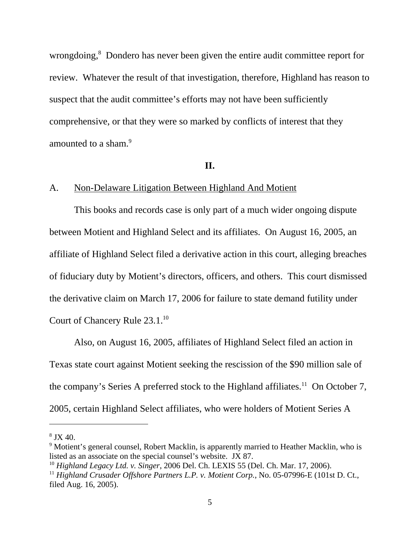wrongdoing,<sup>8</sup> Dondero has never been given the entire audit committee report for review. Whatever the result of that investigation, therefore, Highland has reason to suspect that the audit committee's efforts may not have been sufficiently comprehensive, or that they were so marked by conflicts of interest that they amounted to a sham.<sup>9</sup>

### **II.**

## A. Non-Delaware Litigation Between Highland And Motient

This books and records case is only part of a much wider ongoing dispute between Motient and Highland Select and its affiliates. On August 16, 2005, an affiliate of Highland Select filed a derivative action in this court, alleging breaches of fiduciary duty by Motient's directors, officers, and others. This court dismissed the derivative claim on March 17, 2006 for failure to state demand futility under Court of Chancery Rule 23.1.<sup>10</sup>

Also, on August 16, 2005, affiliates of Highland Select filed an action in Texas state court against Motient seeking the rescission of the \$90 million sale of the company's Series A preferred stock to the Highland affiliates.<sup>11</sup> On October 7, 2005, certain Highland Select affiliates, who were holders of Motient Series A

 $8$  JX 40.

<sup>&</sup>lt;sup>9</sup> Motient's general counsel, Robert Macklin, is apparently married to Heather Macklin, who is listed as an associate on the special counsel's website. JX 87.

<sup>10</sup> *Highland Legacy Ltd. v. Singer*, 2006 Del. Ch. LEXIS 55 (Del. Ch. Mar. 17, 2006).

<sup>&</sup>lt;sup>11</sup> Highland Crusader Offshore Partners L.P. v. Motient Corp., No. 05-07996-E (101st D. Ct., filed Aug. 16, 2005).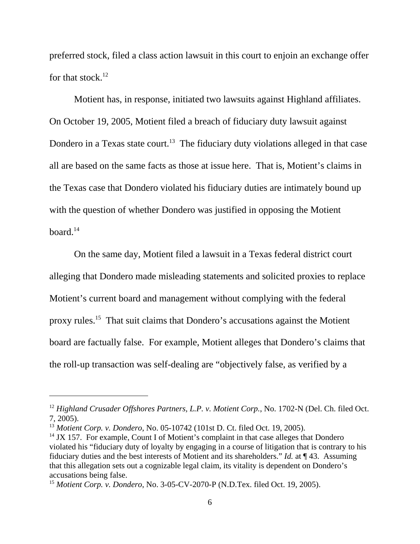preferred stock, filed a class action lawsuit in this court to enjoin an exchange offer for that stock. $12$ 

Motient has, in response, initiated two lawsuits against Highland affiliates. On October 19, 2005, Motient filed a breach of fiduciary duty lawsuit against Dondero in a Texas state court.<sup>13</sup> The fiduciary duty violations alleged in that case all are based on the same facts as those at issue here. That is, Motient's claims in the Texas case that Dondero violated his fiduciary duties are intimately bound up with the question of whether Dondero was justified in opposing the Motient  $board<sup>14</sup>$ 

On the same day, Motient filed a lawsuit in a Texas federal district court alleging that Dondero made misleading statements and solicited proxies to replace Motient's current board and management without complying with the federal proxy rules.15 That suit claims that Dondero's accusations against the Motient board are factually false. For example, Motient alleges that Dondero's claims that the roll-up transaction was self-dealing are "objectively false, as verified by a

<sup>&</sup>lt;sup>12</sup> Highland Crusader Offshores Partners, L.P. v. Motient Corp., No. 1702-N (Del. Ch. filed Oct. 7, 2005).

<sup>13</sup> *Motient Corp. v. Dondero*, No. 05-10742 (101st D. Ct. filed Oct. 19, 2005).

 $14$  JX 157. For example, Count I of Motient's complaint in that case alleges that Dondero violated his "fiduciary duty of loyalty by engaging in a course of litigation that is contrary to his fiduciary duties and the best interests of Motient and its shareholders." *Id.* at ¶ 43. Assuming that this allegation sets out a cognizable legal claim, its vitality is dependent on Dondero's accusations being false.

<sup>15</sup> *Motient Corp. v. Dondero*, No. 3-05-CV-2070-P (N.D.Tex. filed Oct. 19, 2005).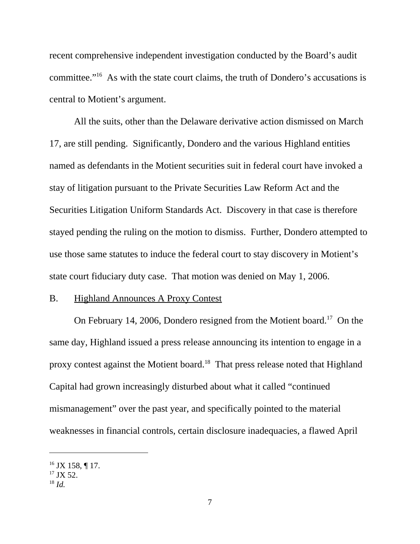recent comprehensive independent investigation conducted by the Board's audit committee."16 As with the state court claims, the truth of Dondero's accusations is central to Motient's argument.

All the suits, other than the Delaware derivative action dismissed on March 17, are still pending. Significantly, Dondero and the various Highland entities named as defendants in the Motient securities suit in federal court have invoked a stay of litigation pursuant to the Private Securities Law Reform Act and the Securities Litigation Uniform Standards Act. Discovery in that case is therefore stayed pending the ruling on the motion to dismiss. Further, Dondero attempted to use those same statutes to induce the federal court to stay discovery in Motient's state court fiduciary duty case. That motion was denied on May 1, 2006.

### B. Highland Announces A Proxy Contest

On February 14, 2006, Dondero resigned from the Motient board.<sup>17</sup> On the same day, Highland issued a press release announcing its intention to engage in a proxy contest against the Motient board.18 That press release noted that Highland Capital had grown increasingly disturbed about what it called "continued mismanagement" over the past year, and specifically pointed to the material weaknesses in financial controls, certain disclosure inadequacies, a flawed April

<sup>&</sup>lt;sup>16</sup> JX 158, ¶ 17.

 $17$  JX 52.

<sup>18</sup> *Id.*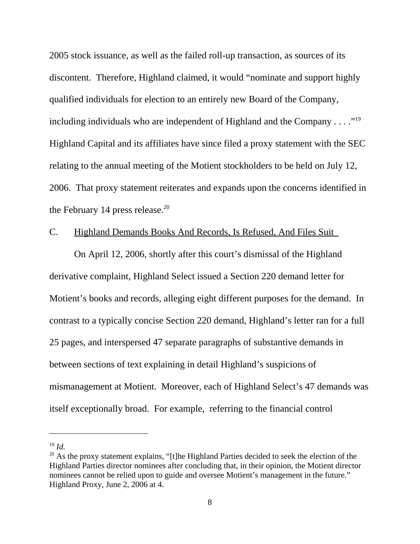2005 stock issuance, as well as the failed roll-up transaction, as sources of its discontent. Therefore, Highland claimed, it would "nominate and support highly qualified individuals for election to an entirely new Board of the Company, including individuals who are independent of Highland and the Company  $\dots$ ."<sup>19</sup> Highland Capital and its affiliates have since filed a proxy statement with the SEC relating to the annual meeting of the Motient stockholders to be held on July 12, 2006. That proxy statement reiterates and expands upon the concerns identified in the February 14 press release. $20$ 

## C. Highland Demands Books And Records, Is Refused, And Files Suit

On April 12, 2006, shortly after this court's dismissal of the Highland derivative complaint, Highland Select issued a Section 220 demand letter for Motient's books and records, alleging eight different purposes for the demand. In contrast to a typically concise Section 220 demand, Highland's letter ran for a full 25 pages, and interspersed 47 separate paragraphs of substantive demands in between sections of text explaining in detail Highland's suspicions of mismanagement at Motient. Moreover, each of Highland Select's 47 demands was itself exceptionally broad. For example, referring to the financial control

<sup>19</sup> *Id.*

 $20$  As the proxy statement explains, "[t]he Highland Parties decided to seek the election of the Highland Parties director nominees after concluding that, in their opinion, the Motient director nominees cannot be relied upon to guide and oversee Motient's management in the future." Highland Proxy, June 2, 2006 at 4.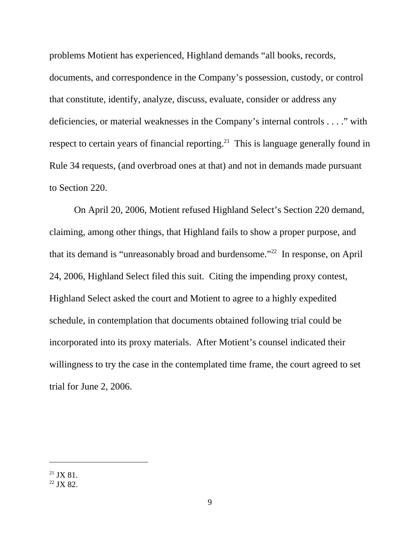problems Motient has experienced, Highland demands "all books, records, documents, and correspondence in the Company's possession, custody, or control that constitute, identify, analyze, discuss, evaluate, consider or address any deficiencies, or material weaknesses in the Company's internal controls . . . ." with respect to certain years of financial reporting.<sup>21</sup> This is language generally found in Rule 34 requests, (and overbroad ones at that) and not in demands made pursuant to Section 220.

On April 20, 2006, Motient refused Highland Select's Section 220 demand, claiming, among other things, that Highland fails to show a proper purpose, and that its demand is "unreasonably broad and burdensome."22 In response, on April 24, 2006, Highland Select filed this suit. Citing the impending proxy contest, Highland Select asked the court and Motient to agree to a highly expedited schedule, in contemplation that documents obtained following trial could be incorporated into its proxy materials. After Motient's counsel indicated their willingness to try the case in the contemplated time frame, the court agreed to set trial for June 2, 2006.

 $21$  JX 81.

<sup>22</sup> JX 82.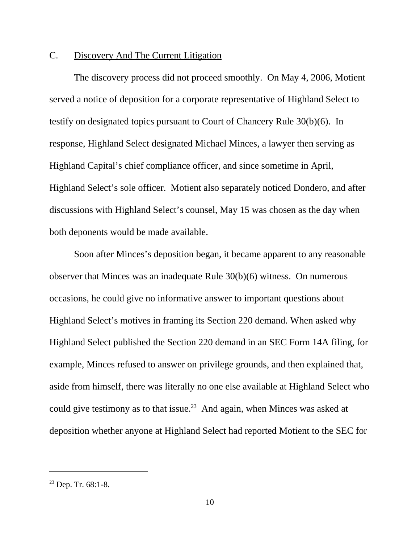## C. Discovery And The Current Litigation

 The discovery process did not proceed smoothly. On May 4, 2006, Motient served a notice of deposition for a corporate representative of Highland Select to testify on designated topics pursuant to Court of Chancery Rule 30(b)(6). In response, Highland Select designated Michael Minces, a lawyer then serving as Highland Capital's chief compliance officer, and since sometime in April, Highland Select's sole officer. Motient also separately noticed Dondero, and after discussions with Highland Select's counsel, May 15 was chosen as the day when both deponents would be made available.

Soon after Minces's deposition began, it became apparent to any reasonable observer that Minces was an inadequate Rule 30(b)(6) witness. On numerous occasions, he could give no informative answer to important questions about Highland Select's motives in framing its Section 220 demand. When asked why Highland Select published the Section 220 demand in an SEC Form 14A filing, for example, Minces refused to answer on privilege grounds, and then explained that, aside from himself, there was literally no one else available at Highland Select who could give testimony as to that issue.<sup>23</sup> And again, when Minces was asked at deposition whether anyone at Highland Select had reported Motient to the SEC for

 $23$  Dep. Tr. 68:1-8.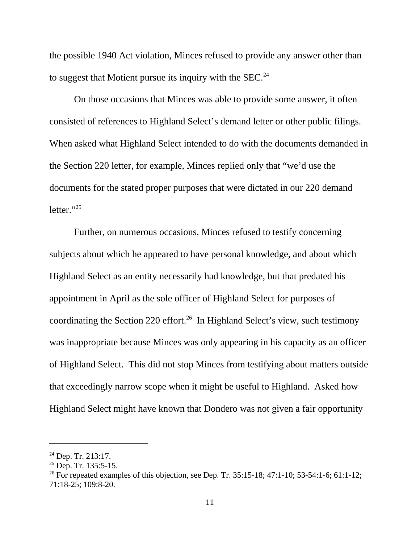the possible 1940 Act violation, Minces refused to provide any answer other than to suggest that Motient pursue its inquiry with the  $SEC.^{24}$ 

On those occasions that Minces was able to provide some answer, it often consisted of references to Highland Select's demand letter or other public filings. When asked what Highland Select intended to do with the documents demanded in the Section 220 letter, for example, Minces replied only that "we'd use the documents for the stated proper purposes that were dictated in our 220 demand letter." $^{25}$ 

Further, on numerous occasions, Minces refused to testify concerning subjects about which he appeared to have personal knowledge, and about which Highland Select as an entity necessarily had knowledge, but that predated his appointment in April as the sole officer of Highland Select for purposes of coordinating the Section 220 effort.<sup>26</sup> In Highland Select's view, such testimony was inappropriate because Minces was only appearing in his capacity as an officer of Highland Select. This did not stop Minces from testifying about matters outside that exceedingly narrow scope when it might be useful to Highland. Asked how Highland Select might have known that Dondero was not given a fair opportunity

 $24$  Dep. Tr. 213:17.

 $25$  Dep. Tr. 135:5-15.

<sup>&</sup>lt;sup>26</sup> For repeated examples of this objection, see Dep. Tr. 35:15-18; 47:1-10; 53-54:1-6; 61:1-12; 71:18-25; 109:8-20.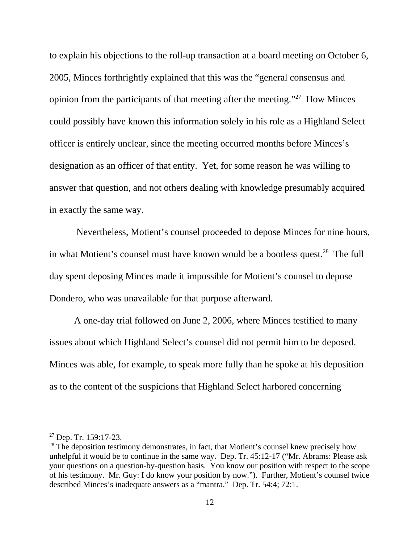to explain his objections to the roll-up transaction at a board meeting on October 6, 2005, Minces forthrightly explained that this was the "general consensus and opinion from the participants of that meeting after the meeting."27 How Minces could possibly have known this information solely in his role as a Highland Select officer is entirely unclear, since the meeting occurred months before Minces's designation as an officer of that entity. Yet, for some reason he was willing to answer that question, and not others dealing with knowledge presumably acquired in exactly the same way.

 Nevertheless, Motient's counsel proceeded to depose Minces for nine hours, in what Motient's counsel must have known would be a bootless quest.<sup>28</sup> The full day spent deposing Minces made it impossible for Motient's counsel to depose Dondero, who was unavailable for that purpose afterward.

A one-day trial followed on June 2, 2006, where Minces testified to many issues about which Highland Select's counsel did not permit him to be deposed. Minces was able, for example, to speak more fully than he spoke at his deposition as to the content of the suspicions that Highland Select harbored concerning

<sup>27</sup> Dep. Tr. 159:17-23.

<sup>&</sup>lt;sup>28</sup> The deposition testimony demonstrates, in fact, that Motient's counsel knew precisely how unhelpful it would be to continue in the same way. Dep. Tr. 45:12-17 ("Mr. Abrams: Please ask your questions on a question-by-question basis. You know our position with respect to the scope of his testimony. Mr. Guy: I do know your position by now."). Further, Motient's counsel twice described Minces's inadequate answers as a "mantra." Dep. Tr. 54:4; 72:1.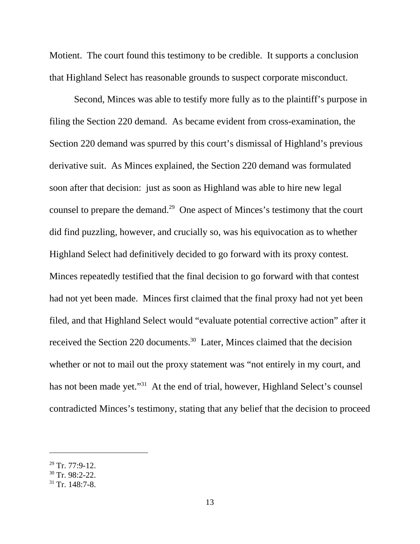Motient. The court found this testimony to be credible. It supports a conclusion that Highland Select has reasonable grounds to suspect corporate misconduct.

Second, Minces was able to testify more fully as to the plaintiff's purpose in filing the Section 220 demand. As became evident from cross-examination, the Section 220 demand was spurred by this court's dismissal of Highland's previous derivative suit. As Minces explained, the Section 220 demand was formulated soon after that decision: just as soon as Highland was able to hire new legal counsel to prepare the demand.<sup>29</sup> One aspect of Minces's testimony that the court did find puzzling, however, and crucially so, was his equivocation as to whether Highland Select had definitively decided to go forward with its proxy contest. Minces repeatedly testified that the final decision to go forward with that contest had not yet been made. Minces first claimed that the final proxy had not yet been filed, and that Highland Select would "evaluate potential corrective action" after it received the Section 220 documents.<sup>30</sup> Later, Minces claimed that the decision whether or not to mail out the proxy statement was "not entirely in my court, and has not been made yet."<sup>31</sup> At the end of trial, however, Highland Select's counsel contradicted Minces's testimony, stating that any belief that the decision to proceed

 $29$  Tr. 77:9-12.

 $30$  Tr. 98:2-22.

 $31$  Tr. 148:7-8.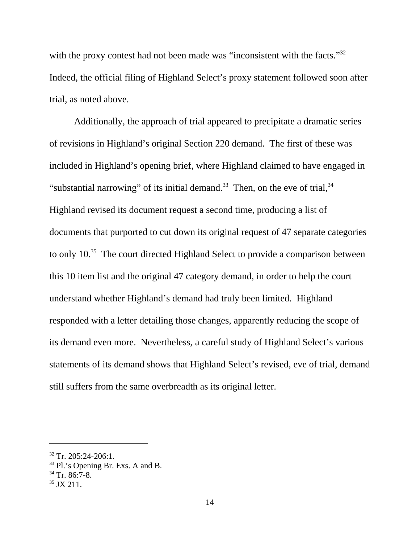with the proxy contest had not been made was "inconsistent with the facts."<sup>32</sup> Indeed, the official filing of Highland Select's proxy statement followed soon after trial, as noted above.

Additionally, the approach of trial appeared to precipitate a dramatic series of revisions in Highland's original Section 220 demand. The first of these was included in Highland's opening brief, where Highland claimed to have engaged in "substantial narrowing" of its initial demand.<sup>33</sup> Then, on the eve of trial,  $34$ Highland revised its document request a second time, producing a list of documents that purported to cut down its original request of 47 separate categories to only 10.<sup>35</sup> The court directed Highland Select to provide a comparison between this 10 item list and the original 47 category demand, in order to help the court understand whether Highland's demand had truly been limited. Highland responded with a letter detailing those changes, apparently reducing the scope of its demand even more. Nevertheless, a careful study of Highland Select's various statements of its demand shows that Highland Select's revised, eve of trial, demand still suffers from the same overbreadth as its original letter.

 $32$  Tr. 205:24-206:1.

<sup>33</sup> Pl.'s Opening Br. Exs. A and B.

 $34$  Tr. 86:7-8.

 $35$  JX 211.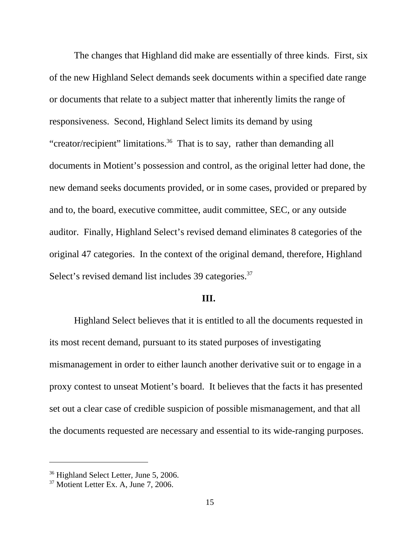The changes that Highland did make are essentially of three kinds. First, six of the new Highland Select demands seek documents within a specified date range or documents that relate to a subject matter that inherently limits the range of responsiveness. Second, Highland Select limits its demand by using "creator/recipient" limitations.36 That is to say, rather than demanding all documents in Motient's possession and control, as the original letter had done, the new demand seeks documents provided, or in some cases, provided or prepared by and to, the board, executive committee, audit committee, SEC, or any outside auditor. Finally, Highland Select's revised demand eliminates 8 categories of the original 47 categories. In the context of the original demand, therefore, Highland Select's revised demand list includes 39 categories.<sup>37</sup>

### **III.**

Highland Select believes that it is entitled to all the documents requested in its most recent demand, pursuant to its stated purposes of investigating mismanagement in order to either launch another derivative suit or to engage in a proxy contest to unseat Motient's board. It believes that the facts it has presented set out a clear case of credible suspicion of possible mismanagement, and that all the documents requested are necessary and essential to its wide-ranging purposes.

<sup>&</sup>lt;sup>36</sup> Highland Select Letter, June 5, 2006.

 $37$  Motient Letter Ex. A, June 7, 2006.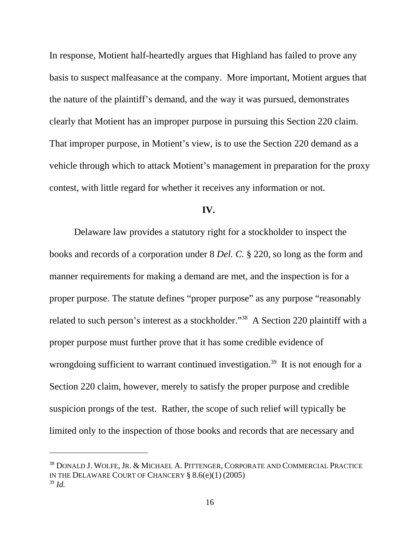In response, Motient half-heartedly argues that Highland has failed to prove any basis to suspect malfeasance at the company. More important, Motient argues that the nature of the plaintiff's demand, and the way it was pursued, demonstrates clearly that Motient has an improper purpose in pursuing this Section 220 claim. That improper purpose, in Motient's view, is to use the Section 220 demand as a vehicle through which to attack Motient's management in preparation for the proxy contest, with little regard for whether it receives any information or not.

### **IV.**

Delaware law provides a statutory right for a stockholder to inspect the books and records of a corporation under 8 *Del. C.* § 220, so long as the form and manner requirements for making a demand are met, and the inspection is for a proper purpose. The statute defines "proper purpose" as any purpose "reasonably related to such person's interest as a stockholder."38 A Section 220 plaintiff with a proper purpose must further prove that it has some credible evidence of wrongdoing sufficient to warrant continued investigation.<sup>39</sup> It is not enough for a Section 220 claim, however, merely to satisfy the proper purpose and credible suspicion prongs of the test. Rather, the scope of such relief will typically be limited only to the inspection of those books and records that are necessary and

<sup>38</sup> DONALD J. WOLFE, JR. & MICHAEL A. PITTENGER, CORPORATE AND COMMERCIAL PRACTICE IN THE DELAWARE COURT OF CHANCERY § 8.6(e)(1) (2005) <sup>39</sup> *Id.*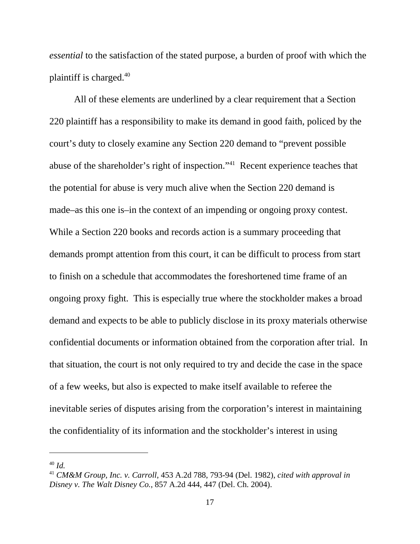*essential* to the satisfaction of the stated purpose, a burden of proof with which the plaintiff is charged.40

All of these elements are underlined by a clear requirement that a Section 220 plaintiff has a responsibility to make its demand in good faith, policed by the court's duty to closely examine any Section 220 demand to "prevent possible abuse of the shareholder's right of inspection."41 Recent experience teaches that the potential for abuse is very much alive when the Section 220 demand is made–as this one is–in the context of an impending or ongoing proxy contest. While a Section 220 books and records action is a summary proceeding that demands prompt attention from this court, it can be difficult to process from start to finish on a schedule that accommodates the foreshortened time frame of an ongoing proxy fight. This is especially true where the stockholder makes a broad demand and expects to be able to publicly disclose in its proxy materials otherwise confidential documents or information obtained from the corporation after trial. In that situation, the court is not only required to try and decide the case in the space of a few weeks, but also is expected to make itself available to referee the inevitable series of disputes arising from the corporation's interest in maintaining the confidentiality of its information and the stockholder's interest in using

<sup>40</sup> *Id.* 

<sup>41</sup> *CM&M Group, Inc. v. Carroll*, 453 A.2d 788, 793-94 (Del. 1982), *cited with approval in Disney v. The Walt Disney Co.*, 857 A.2d 444, 447 (Del. Ch. 2004).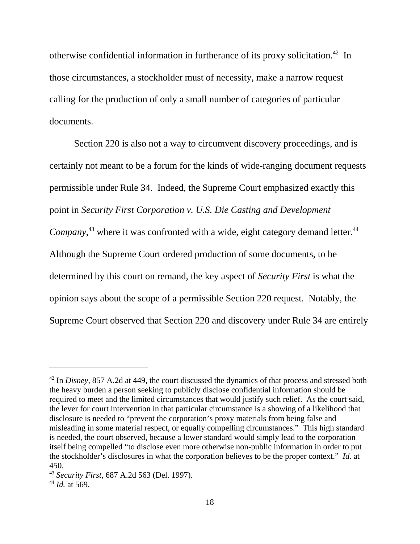otherwise confidential information in furtherance of its proxy solicitation.42 In those circumstances, a stockholder must of necessity, make a narrow request calling for the production of only a small number of categories of particular documents.

Section 220 is also not a way to circumvent discovery proceedings, and is certainly not meant to be a forum for the kinds of wide-ranging document requests permissible under Rule 34. Indeed, the Supreme Court emphasized exactly this point in *Security First Corporation v. U.S. Die Casting and Development* Company,<sup>43</sup> where it was confronted with a wide, eight category demand letter.<sup>44</sup> Although the Supreme Court ordered production of some documents, to be determined by this court on remand, the key aspect of *Security First* is what the opinion says about the scope of a permissible Section 220 request. Notably, the Supreme Court observed that Section 220 and discovery under Rule 34 are entirely

<sup>42</sup> In *Disney*, 857 A.2d at 449, the court discussed the dynamics of that process and stressed both the heavy burden a person seeking to publicly disclose confidential information should be required to meet and the limited circumstances that would justify such relief. As the court said, the lever for court intervention in that particular circumstance is a showing of a likelihood that disclosure is needed to "prevent the corporation's proxy materials from being false and misleading in some material respect, or equally compelling circumstances." This high standard is needed, the court observed, because a lower standard would simply lead to the corporation itself being compelled "to disclose even more otherwise non-public information in order to put the stockholder's disclosures in what the corporation believes to be the proper context." *Id.* at 450.

<sup>43</sup> *Security First*, 687 A.2d 563 (Del. 1997).

<sup>44</sup> *Id.* at 569.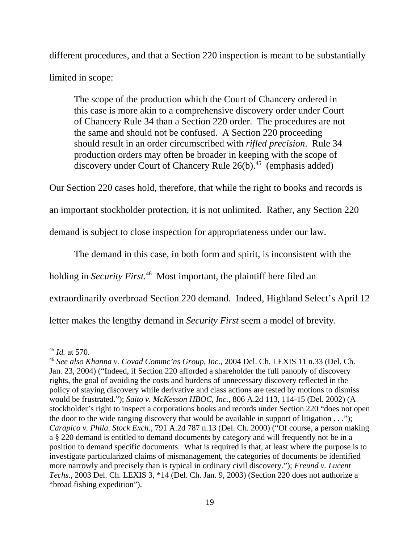different procedures, and that a Section 220 inspection is meant to be substantially limited in scope:

The scope of the production which the Court of Chancery ordered in this case is more akin to a comprehensive discovery order under Court of Chancery Rule 34 than a Section 220 order. The procedures are not the same and should not be confused. A Section 220 proceeding should result in an order circumscribed with *rifled precision*. Rule 34 production orders may often be broader in keeping with the scope of discovery under Court of Chancery Rule  $26(b)$ .<sup>45</sup> (emphasis added)

Our Section 220 cases hold, therefore, that while the right to books and records is

an important stockholder protection, it is not unlimited. Rather, any Section 220

demand is subject to close inspection for appropriateness under our law.

The demand in this case, in both form and spirit, is inconsistent with the

holding in *Security First*. 46 Most important, the plaintiff here filed an

extraordinarily overbroad Section 220 demand. Indeed, Highland Select's April 12

letter makes the lengthy demand in *Security First* seem a model of brevity.

<sup>45</sup> *Id.* at 570.

<sup>46</sup> *See also Khanna v. Covad Commc'ns Group, Inc.*, 2004 Del. Ch. LEXIS 11 n.33 (Del. Ch. Jan. 23, 2004) ("Indeed, if Section 220 afforded a shareholder the full panoply of discovery rights, the goal of avoiding the costs and burdens of unnecessary discovery reflected in the policy of staying discovery while derivative and class actions are tested by motions to dismiss would be frustrated."); *Saito v. McKesson HBOC, Inc.*, 806 A.2d 113, 114-15 (Del. 2002) (A stockholder's right to inspect a corporations books and records under Section 220 "does not open the door to the wide ranging discovery that would be available in support of litigation  $\dots$ "); *Carapico v. Phila. Stock Exch.*, 791 A.2d 787 n.13 (Del. Ch. 2000) ("Of course, a person making a § 220 demand is entitled to demand documents by category and will frequently not be in a position to demand specific documents. What is required is that, at least where the purpose is to investigate particularized claims of mismanagement, the categories of documents be identified more narrowly and precisely than is typical in ordinary civil discovery."); *Freund v. Lucent Techs.*, 2003 Del. Ch. LEXIS 3, \*14 (Del. Ch. Jan. 9, 2003) (Section 220 does not authorize a "broad fishing expedition").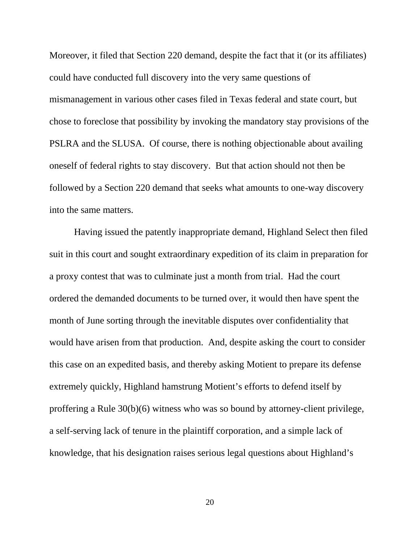Moreover, it filed that Section 220 demand, despite the fact that it (or its affiliates) could have conducted full discovery into the very same questions of mismanagement in various other cases filed in Texas federal and state court, but chose to foreclose that possibility by invoking the mandatory stay provisions of the PSLRA and the SLUSA. Of course, there is nothing objectionable about availing oneself of federal rights to stay discovery. But that action should not then be followed by a Section 220 demand that seeks what amounts to one-way discovery into the same matters.

Having issued the patently inappropriate demand, Highland Select then filed suit in this court and sought extraordinary expedition of its claim in preparation for a proxy contest that was to culminate just a month from trial. Had the court ordered the demanded documents to be turned over, it would then have spent the month of June sorting through the inevitable disputes over confidentiality that would have arisen from that production. And, despite asking the court to consider this case on an expedited basis, and thereby asking Motient to prepare its defense extremely quickly, Highland hamstrung Motient's efforts to defend itself by proffering a Rule 30(b)(6) witness who was so bound by attorney-client privilege, a self-serving lack of tenure in the plaintiff corporation, and a simple lack of knowledge, that his designation raises serious legal questions about Highland's

20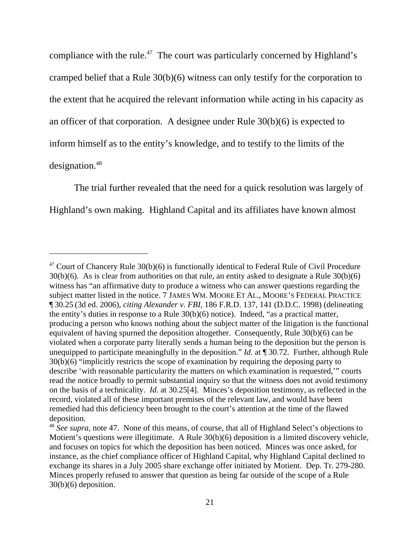compliance with the rule.<sup>47</sup> The court was particularly concerned by Highland's cramped belief that a Rule 30(b)(6) witness can only testify for the corporation to the extent that he acquired the relevant information while acting in his capacity as an officer of that corporation. A designee under Rule 30(b)(6) is expected to inform himself as to the entity's knowledge, and to testify to the limits of the designation.<sup>48</sup>

The trial further revealed that the need for a quick resolution was largely of Highland's own making. Highland Capital and its affiliates have known almost

 $47$  Court of Chancery Rule 30(b)(6) is functionally identical to Federal Rule of Civil Procedure 30(b)(6). As is clear from authorities on that rule, an entity asked to designate a Rule 30(b)(6) witness has "an affirmative duty to produce a witness who can answer questions regarding the subject matter listed in the notice. 7 JAMES WM. MOORE ET AL., MOORE'S FEDERAL PRACTICE ¶ 30.25 (3d ed. 2006), *citing Alexander v. FBI*, 186 F.R.D. 137, 141 (D.D.C. 1998) (delineating the entity's duties in response to a Rule 30(b)(6) notice). Indeed, "as a practical matter, producing a person who knows nothing about the subject matter of the litigation is the functional equivalent of having spurned the deposition altogether. Consequently, Rule 30(b)(6) can be violated when a corporate party literally sends a human being to the deposition but the person is unequipped to participate meaningfully in the deposition." *Id.* at ¶ 30.72. Further, although Rule 30(b)(6) "implicitly restricts the scope of examination by requiring the deposing party to describe 'with reasonable particularity the matters on which examination is requested,'" courts read the notice broadly to permit substantial inquiry so that the witness does not avoid testimony on the basis of a technicality. *Id.* at 30.25[4]. Minces's deposition testimony, as reflected in the record, violated all of these important premises of the relevant law, and would have been remedied had this deficiency been brought to the court's attention at the time of the flawed deposition.

<sup>48</sup> *See supra*, note 47. None of this means, of course, that all of Highland Select's objections to Motient's questions were illegitimate. A Rule 30(b)(6) deposition is a limited discovery vehicle, and focuses on topics for which the deposition has been noticed. Minces was once asked, for instance, as the chief compliance officer of Highland Capital, why Highland Capital declined to exchange its shares in a July 2005 share exchange offer initiated by Motient. Dep. Tr. 279-280. Minces properly refused to answer that question as being far outside of the scope of a Rule 30(b)(6) deposition.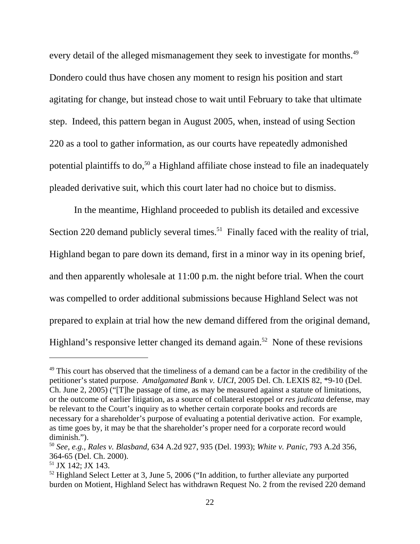every detail of the alleged mismanagement they seek to investigate for months.<sup>49</sup> Dondero could thus have chosen any moment to resign his position and start agitating for change, but instead chose to wait until February to take that ultimate step. Indeed, this pattern began in August 2005, when, instead of using Section 220 as a tool to gather information, as our courts have repeatedly admonished potential plaintiffs to  $do<sub>50</sub>$  a Highland affiliate chose instead to file an inadequately pleaded derivative suit, which this court later had no choice but to dismiss.

In the meantime, Highland proceeded to publish its detailed and excessive Section 220 demand publicly several times.<sup>51</sup> Finally faced with the reality of trial, Highland began to pare down its demand, first in a minor way in its opening brief, and then apparently wholesale at 11:00 p.m. the night before trial. When the court was compelled to order additional submissions because Highland Select was not prepared to explain at trial how the new demand differed from the original demand, Highland's responsive letter changed its demand again.<sup>52</sup> None of these revisions

<sup>&</sup>lt;sup>49</sup> This court has observed that the timeliness of a demand can be a factor in the credibility of the petitioner's stated purpose. *Amalgamated Bank v. UICI*, 2005 Del. Ch. LEXIS 82, \*9-10 (Del. Ch. June 2, 2005) ("[T]he passage of time, as may be measured against a statute of limitations, or the outcome of earlier litigation, as a source of collateral estoppel or *res judicata* defense, may be relevant to the Court's inquiry as to whether certain corporate books and records are necessary for a shareholder's purpose of evaluating a potential derivative action. For example, as time goes by, it may be that the shareholder's proper need for a corporate record would diminish.").

<sup>50</sup> *See, e.g., Rales v. Blasband*, 634 A.2d 927, 935 (Del. 1993); *White v. Panic*, 793 A.2d 356, 364-65 (Del. Ch. 2000).

<sup>51</sup> JX 142; JX 143.

 $52$  Highland Select Letter at 3, June 5, 2006 ("In addition, to further alleviate any purported burden on Motient, Highland Select has withdrawn Request No. 2 from the revised 220 demand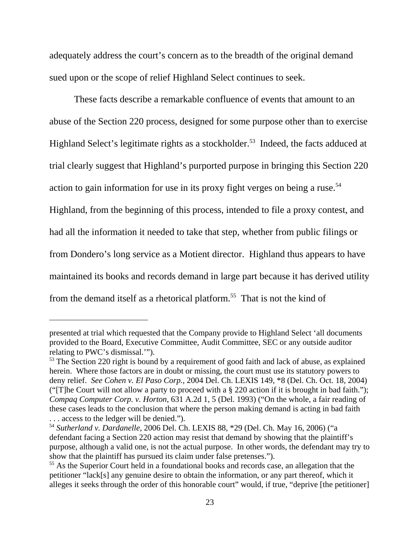adequately address the court's concern as to the breadth of the original demand sued upon or the scope of relief Highland Select continues to seek.

These facts describe a remarkable confluence of events that amount to an abuse of the Section 220 process, designed for some purpose other than to exercise Highland Select's legitimate rights as a stockholder.<sup>53</sup> Indeed, the facts adduced at trial clearly suggest that Highland's purported purpose in bringing this Section 220 action to gain information for use in its proxy fight verges on being a ruse.<sup>54</sup> Highland, from the beginning of this process, intended to file a proxy contest, and had all the information it needed to take that step, whether from public filings or from Dondero's long service as a Motient director. Highland thus appears to have maintained its books and records demand in large part because it has derived utility from the demand itself as a rhetorical platform.<sup>55</sup> That is not the kind of

presented at trial which requested that the Company provide to Highland Select 'all documents provided to the Board, Executive Committee, Audit Committee, SEC or any outside auditor relating to PWC's dismissal.'").

<sup>&</sup>lt;sup>53</sup> The Section 220 right is bound by a requirement of good faith and lack of abuse, as explained herein. Where those factors are in doubt or missing, the court must use its statutory powers to deny relief. *See Cohen v. El Paso Corp.*, 2004 Del. Ch. LEXIS 149, \*8 (Del. Ch. Oct. 18, 2004) ("The Court will not allow a party to proceed with a  $\S 220$  action if it is brought in bad faith."); *Compaq Computer Corp. v. Horton*, 631 A.2d 1, 5 (Del. 1993) ("On the whole, a fair reading of these cases leads to the conclusion that where the person making demand is acting in bad faith . . . access to the ledger will be denied.").

<sup>54</sup> *Sutherland v. Dardanelle*, 2006 Del. Ch. LEXIS 88, \*29 (Del. Ch. May 16, 2006) ("a defendant facing a Section 220 action may resist that demand by showing that the plaintiff's purpose, although a valid one, is not the actual purpose. In other words, the defendant may try to show that the plaintiff has pursued its claim under false pretenses.").

<sup>&</sup>lt;sup>55</sup> As the Superior Court held in a foundational books and records case, an allegation that the petitioner "lack[s] any genuine desire to obtain the information, or any part thereof, which it alleges it seeks through the order of this honorable court" would, if true, "deprive [the petitioner]